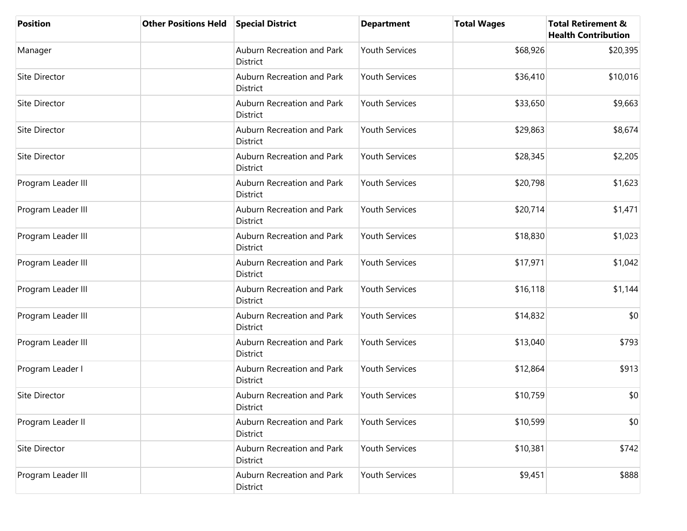| <b>Position</b>      | <b>Other Positions Held</b> | <b>Special District</b>                       | <b>Department</b>     | <b>Total Wages</b> | <b>Total Retirement &amp;</b><br><b>Health Contribution</b> |
|----------------------|-----------------------------|-----------------------------------------------|-----------------------|--------------------|-------------------------------------------------------------|
| Manager              |                             | Auburn Recreation and Park<br>District        | <b>Youth Services</b> | \$68,926           | \$20,395                                                    |
| Site Director        |                             | Auburn Recreation and Park<br>District        | <b>Youth Services</b> | \$36,410           | \$10,016                                                    |
| Site Director        |                             | Auburn Recreation and Park<br>District        | <b>Youth Services</b> | \$33,650           | \$9,663                                                     |
| <b>Site Director</b> |                             | Auburn Recreation and Park<br>District        | <b>Youth Services</b> | \$29,863           | \$8,674                                                     |
| Site Director        |                             | Auburn Recreation and Park<br><b>District</b> | <b>Youth Services</b> | \$28,345           | \$2,205                                                     |
| Program Leader III   |                             | Auburn Recreation and Park<br><b>District</b> | <b>Youth Services</b> | \$20,798           | \$1,623                                                     |
| Program Leader III   |                             | Auburn Recreation and Park<br>District        | <b>Youth Services</b> | \$20,714           | \$1,471                                                     |
| Program Leader III   |                             | Auburn Recreation and Park<br><b>District</b> | <b>Youth Services</b> | \$18,830           | \$1,023                                                     |
| Program Leader III   |                             | Auburn Recreation and Park<br>District        | <b>Youth Services</b> | \$17,971           | \$1,042                                                     |
| Program Leader III   |                             | Auburn Recreation and Park<br>District        | <b>Youth Services</b> | \$16,118           | \$1,144                                                     |
| Program Leader III   |                             | Auburn Recreation and Park<br>District        | <b>Youth Services</b> | \$14,832           | \$0                                                         |
| Program Leader III   |                             | Auburn Recreation and Park<br>District        | <b>Youth Services</b> | \$13,040           | \$793                                                       |
| Program Leader I     |                             | Auburn Recreation and Park<br>District        | <b>Youth Services</b> | \$12,864           | \$913                                                       |
| Site Director        |                             | Auburn Recreation and Park<br>District        | <b>Youth Services</b> | \$10,759           | \$0                                                         |
| Program Leader II    |                             | Auburn Recreation and Park<br>District        | <b>Youth Services</b> | \$10,599           | \$0                                                         |
| Site Director        |                             | Auburn Recreation and Park<br>District        | <b>Youth Services</b> | \$10,381           | \$742                                                       |
| Program Leader III   |                             | Auburn Recreation and Park<br>District        | Youth Services        | \$9,451            | \$888                                                       |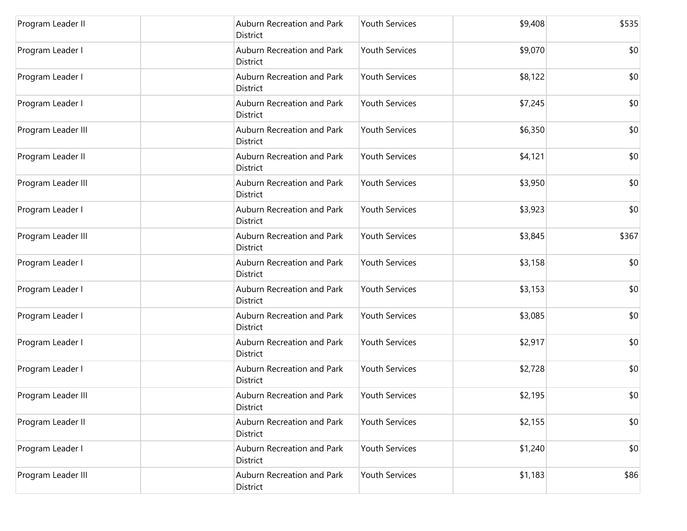| Program Leader II  | Auburn Recreation and Park<br>District        | <b>Youth Services</b> | \$9,408 | \$535 |
|--------------------|-----------------------------------------------|-----------------------|---------|-------|
| Program Leader I   | Auburn Recreation and Park<br>District        | <b>Youth Services</b> | \$9,070 | \$0   |
| Program Leader I   | Auburn Recreation and Park<br>District        | <b>Youth Services</b> | \$8,122 | \$0   |
| Program Leader I   | Auburn Recreation and Park<br>District        | <b>Youth Services</b> | \$7,245 | \$0   |
| Program Leader III | Auburn Recreation and Park<br>District        | <b>Youth Services</b> | \$6,350 | \$0   |
| Program Leader II  | Auburn Recreation and Park<br>District        | <b>Youth Services</b> | \$4,121 | \$0   |
| Program Leader III | Auburn Recreation and Park<br><b>District</b> | <b>Youth Services</b> | \$3,950 | \$0   |
| Program Leader I   | Auburn Recreation and Park<br>District        | <b>Youth Services</b> | \$3,923 | \$0   |
| Program Leader III | Auburn Recreation and Park<br>District        | <b>Youth Services</b> | \$3,845 | \$367 |
| Program Leader I   | Auburn Recreation and Park<br>District        | <b>Youth Services</b> | \$3,158 | \$0   |
| Program Leader I   | Auburn Recreation and Park<br>District        | <b>Youth Services</b> | \$3,153 | \$0   |
| Program Leader I   | Auburn Recreation and Park<br>District        | <b>Youth Services</b> | \$3,085 | \$0   |
| Program Leader I   | Auburn Recreation and Park<br>District        | <b>Youth Services</b> | \$2,917 | \$0   |
| Program Leader I   | Auburn Recreation and Park<br><b>District</b> | <b>Youth Services</b> | \$2,728 | \$0   |
| Program Leader III | Auburn Recreation and Park<br>District        | <b>Youth Services</b> | \$2,195 | \$0   |
| Program Leader II  | Auburn Recreation and Park<br>District        | <b>Youth Services</b> | \$2,155 | \$0   |
| Program Leader I   | Auburn Recreation and Park<br>District        | <b>Youth Services</b> | \$1,240 | \$0   |
| Program Leader III | Auburn Recreation and Park<br><b>District</b> | Youth Services        | \$1,183 | \$86  |